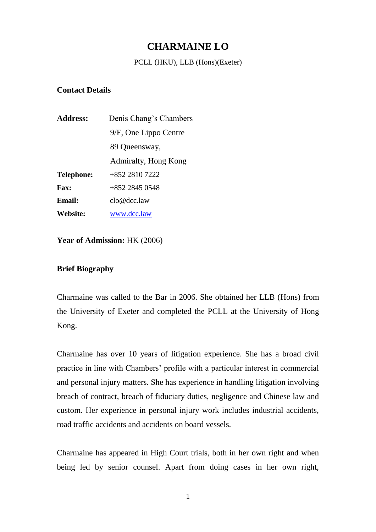# **CHARMAINE LO**

#### PCLL (HKU), LLB (Hons)(Exeter)

#### **Contact Details**

| <b>Address:</b>   | Denis Chang's Chambers |
|-------------------|------------------------|
|                   | 9/F, One Lippo Centre  |
|                   | 89 Queensway,          |
|                   | Admiralty, Hong Kong   |
| <b>Telephone:</b> | +852 2810 7222         |
| <b>Fax:</b>       | $+852$ 2845 0548       |
| Email:            | clo@dcc.law            |
| Website:          | www.dcc.law            |

**Year of Admission:** HK (2006)

#### **Brief Biography**

Charmaine was called to the Bar in 2006. She obtained her LLB (Hons) from the University of Exeter and completed the PCLL at the University of Hong Kong.

Charmaine has over 10 years of litigation experience. She has a broad civil practice in line with Chambers' profile with a particular interest in commercial and personal injury matters. She has experience in handling litigation involving breach of contract, breach of fiduciary duties, negligence and Chinese law and custom. Her experience in personal injury work includes industrial accidents, road traffic accidents and accidents on board vessels.

Charmaine has appeared in High Court trials, both in her own right and when being led by senior counsel. Apart from doing cases in her own right,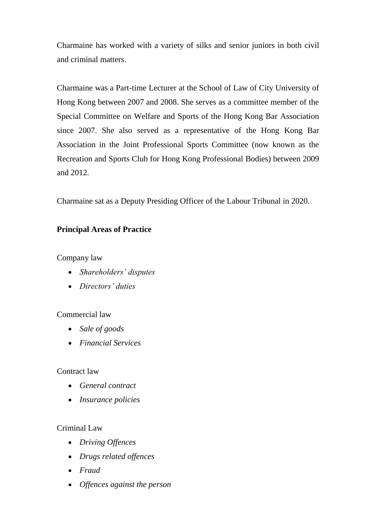Charmaine has worked with a variety of silks and senior juniors in both civil and criminal matters.

Charmaine was a Part-time Lecturer at the School of Law of City University of Hong Kong between 2007 and 2008. She serves as a committee member of the Special Committee on Welfare and Sports of the Hong Kong Bar Association since 2007. She also served as a representative of the Hong Kong Bar Association in the Joint Professional Sports Committee (now known as the Recreation and Sports Club for Hong Kong Professional Bodies) between 2009 and 2012.

Charmaine sat as a Deputy Presiding Officer of the Labour Tribunal in 2020.

### **Principal Areas of Practice**

Company law

- *Shareholders' disputes*
- *Directors' duties*

### Commercial law

- *Sale of goods*
- *Financial Services*

### Contract law

- *General contract*
- *Insurance policies*

### Criminal Law

- *Driving Offences*
- *Drugs related offences*
- *Fraud*
- *Offences against the person*